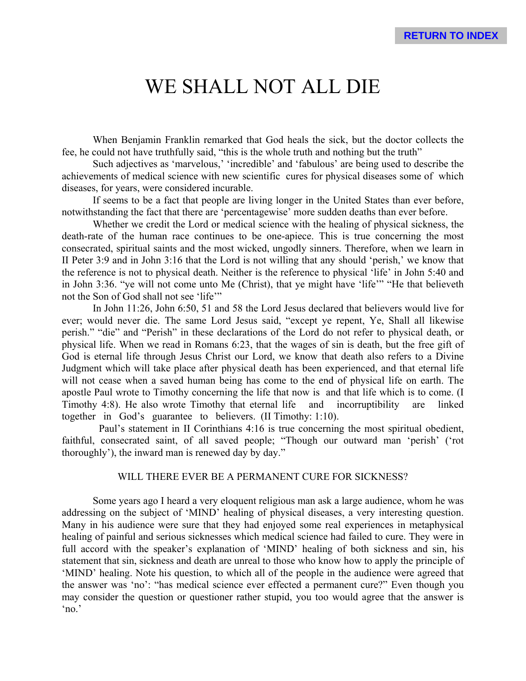# WE SHALL NOT ALL DIE

When Benjamin Franklin remarked that God heals the sick, but the doctor collects the fee, he could not have truthfully said, "this is the whole truth and nothing but the truth"

Such adjectives as 'marvelous,' 'incredible' and 'fabulous' are being used to describe the achievements of medical science with new scientific cures for physical diseases some of which diseases, for years, were considered incurable.

If seems to be a fact that people are living longer in the United States than ever before, notwithstanding the fact that there are 'percentagewise' more sudden deaths than ever before.

Whether we credit the Lord or medical science with the healing of physical sickness, the death-rate of the human race continues to be one-apiece. This is true concerning the most consecrated, spiritual saints and the most wicked, ungodly sinners. Therefore, when we learn in II Peter 3:9 and in John 3:16 that the Lord is not willing that any should 'perish,' we know that the reference is not to physical death. Neither is the reference to physical 'life' in John 5:40 and in John 3:36. "ye will not come unto Me (Christ), that ye might have 'life'" "He that believeth not the Son of God shall not see 'life'"

In John 11:26, John 6:50, 51 and 58 the Lord Jesus declared that believers would live for ever; would never die. The same Lord Jesus said, "except ye repent, Ye, Shall all likewise perish." "die" and "Perish" in these declarations of the Lord do not refer to physical death, or physical life. When we read in Romans 6:23, that the wages of sin is death, but the free gift of God is eternal life through Jesus Christ our Lord, we know that death also refers to a Divine Judgment which will take place after physical death has been experienced, and that eternal life will not cease when a saved human being has come to the end of physical life on earth. The apostle Paul wrote to Timothy concerning the life that now is and that life which is to come. (I Timothy 4:8). He also wrote Timothy that eternal life and incorruptibility are linked together in God's guarantee to believers. (II Timothy: 1:10).

Paul's statement in II Corinthians 4:16 is true concerning the most spiritual obedient, faithful, consecrated saint, of all saved people; "Though our outward man 'perish' ('rot thoroughly'), the inward man is renewed day by day."

### WILL THERE EVER BE A PERMANENT CURE FOR SICKNESS?

Some years ago I heard a very eloquent religious man ask a large audience, whom he was addressing on the subject of 'MIND' healing of physical diseases, a very interesting question. Many in his audience were sure that they had enjoyed some real experiences in metaphysical healing of painful and serious sicknesses which medical science had failed to cure. They were in full accord with the speaker's explanation of 'MIND' healing of both sickness and sin, his statement that sin, sickness and death are unreal to those who know how to apply the principle of 'MIND' healing. Note his question, to which all of the people in the audience were agreed that the answer was 'no': "has medical science ever effected a permanent cure?" Even though you may consider the question or questioner rather stupid, you too would agree that the answer is 'no.'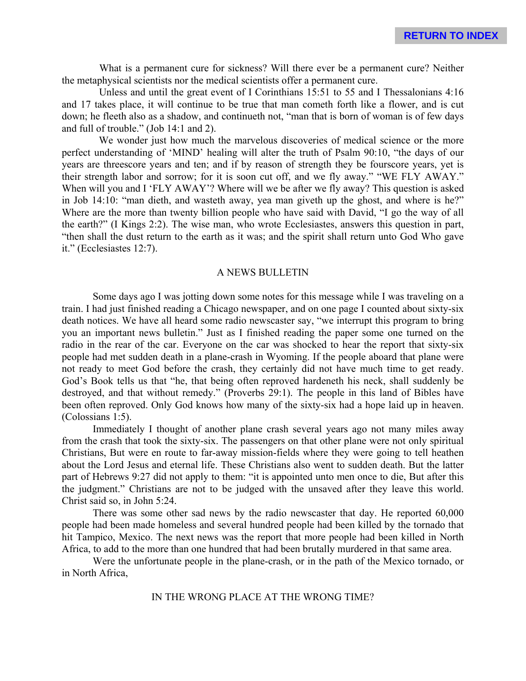What is a permanent cure for sickness? Will there ever be a permanent cure? Neither the metaphysical scientists nor the medical scientists offer a permanent cure.

Unless and until the great event of I Corinthians 15:51 to 55 and I Thessalonians 4:16 and 17 takes place, it will continue to be true that man cometh forth like a flower, and is cut down; he fleeth also as a shadow, and continueth not, "man that is born of woman is of few days and full of trouble." (Job 14:1 and 2).

We wonder just how much the marvelous discoveries of medical science or the more perfect understanding of 'MIND' healing will alter the truth of Psalm 90:10, "the days of our years are threescore years and ten; and if by reason of strength they be fourscore years, yet is their strength labor and sorrow; for it is soon cut off, and we fly away." "WE FLY AWAY." When will you and I 'FLY AWAY'? Where will we be after we fly away? This question is asked in Job 14:10: "man dieth, and wasteth away, yea man giveth up the ghost, and where is he?" Where are the more than twenty billion people who have said with David, "I go the way of all the earth?" (I Kings 2:2). The wise man, who wrote Ecclesiastes, answers this question in part, "then shall the dust return to the earth as it was; and the spirit shall return unto God Who gave it." (Ecclesiastes 12:7).

#### A NEWS BULLETIN

Some days ago I was jotting down some notes for this message while I was traveling on a train. I had just finished reading a Chicago newspaper, and on one page I counted about sixty-six death notices. We have all heard some radio newscaster say, "we interrupt this program to bring you an important news bulletin." Just as I finished reading the paper some one turned on the radio in the rear of the car. Everyone on the car was shocked to hear the report that sixty-six people had met sudden death in a plane-crash in Wyoming. If the people aboard that plane were not ready to meet God before the crash, they certainly did not have much time to get ready. God's Book tells us that "he, that being often reproved hardeneth his neck, shall suddenly be destroyed, and that without remedy." (Proverbs 29:1). The people in this land of Bibles have been often reproved. Only God knows how many of the sixty-six had a hope laid up in heaven. (Colossians 1:5).

Immediately I thought of another plane crash several years ago not many miles away from the crash that took the sixty-six. The passengers on that other plane were not only spiritual Christians, But were en route to far-away mission-fields where they were going to tell heathen about the Lord Jesus and eternal life. These Christians also went to sudden death. But the latter part of Hebrews 9:27 did not apply to them: "it is appointed unto men once to die, But after this the judgment." Christians are not to be judged with the unsaved after they leave this world. Christ said so, in John 5:24.

There was some other sad news by the radio newscaster that day. He reported 60,000 people had been made homeless and several hundred people had been killed by the tornado that hit Tampico, Mexico. The next news was the report that more people had been killed in North Africa, to add to the more than one hundred that had been brutally murdered in that same area.

Were the unfortunate people in the plane-crash, or in the path of the Mexico tornado, or in North Africa,

## IN THE WRONG PLACE AT THE WRONG TIME?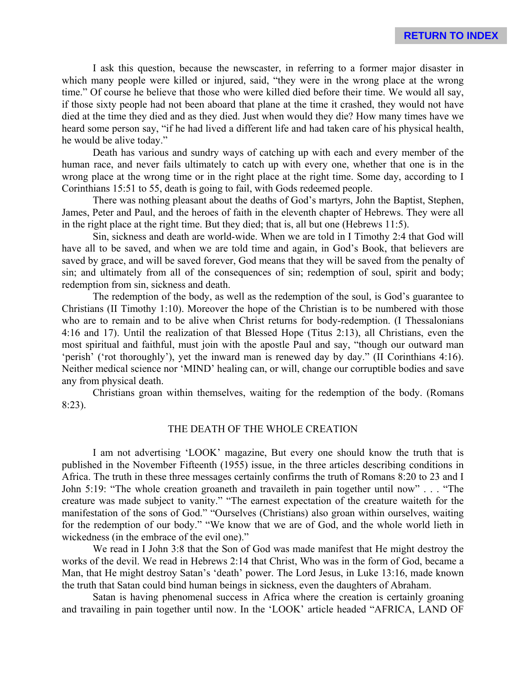I ask this question, because the newscaster, in referring to a former major disaster in which many people were killed or injured, said, "they were in the wrong place at the wrong time." Of course he believe that those who were killed died before their time. We would all say, if those sixty people had not been aboard that plane at the time it crashed, they would not have died at the time they died and as they died. Just when would they die? How many times have we heard some person say, "if he had lived a different life and had taken care of his physical health, he would be alive today."

Death has various and sundry ways of catching up with each and every member of the human race, and never fails ultimately to catch up with every one, whether that one is in the wrong place at the wrong time or in the right place at the right time. Some day, according to I Corinthians 15:51 to 55, death is going to fail, with Gods redeemed people.

There was nothing pleasant about the deaths of God's martyrs, John the Baptist, Stephen, James, Peter and Paul, and the heroes of faith in the eleventh chapter of Hebrews. They were all in the right place at the right time. But they died; that is, all but one (Hebrews 11:5).

Sin, sickness and death are world-wide. When we are told in I Timothy 2:4 that God will have all to be saved, and when we are told time and again, in God's Book, that believers are saved by grace, and will be saved forever, God means that they will be saved from the penalty of sin; and ultimately from all of the consequences of sin; redemption of soul, spirit and body; redemption from sin, sickness and death.

The redemption of the body, as well as the redemption of the soul, is God's guarantee to Christians (II Timothy 1:10). Moreover the hope of the Christian is to be numbered with those who are to remain and to be alive when Christ returns for body-redemption. (I Thessalonians 4:16 and 17). Until the realization of that Blessed Hope (Titus 2:13), all Christians, even the most spiritual and faithful, must join with the apostle Paul and say, "though our outward man 'perish' ('rot thoroughly'), yet the inward man is renewed day by day." (II Corinthians 4:16). Neither medical science nor 'MIND' healing can, or will, change our corruptible bodies and save any from physical death.

Christians groan within themselves, waiting for the redemption of the body. (Romans 8:23).

### THE DEATH OF THE WHOLE CREATION

I am not advertising 'LOOK' magazine, But every one should know the truth that is published in the November Fifteenth (1955) issue, in the three articles describing conditions in Africa. The truth in these three messages certainly confirms the truth of Romans 8:20 to 23 and I John 5:19: "The whole creation groaneth and travaileth in pain together until now" . . . "The creature was made subject to vanity." "The earnest expectation of the creature waiteth for the manifestation of the sons of God." "Ourselves (Christians) also groan within ourselves, waiting for the redemption of our body." "We know that we are of God, and the whole world lieth in wickedness (in the embrace of the evil one)."

We read in I John 3:8 that the Son of God was made manifest that He might destroy the works of the devil. We read in Hebrews 2:14 that Christ, Who was in the form of God, became a Man, that He might destroy Satan's 'death' power. The Lord Jesus, in Luke 13:16, made known the truth that Satan could bind human beings in sickness, even the daughters of Abraham.

Satan is having phenomenal success in Africa where the creation is certainly groaning and travailing in pain together until now. In the 'LOOK' article headed "AFRICA, LAND OF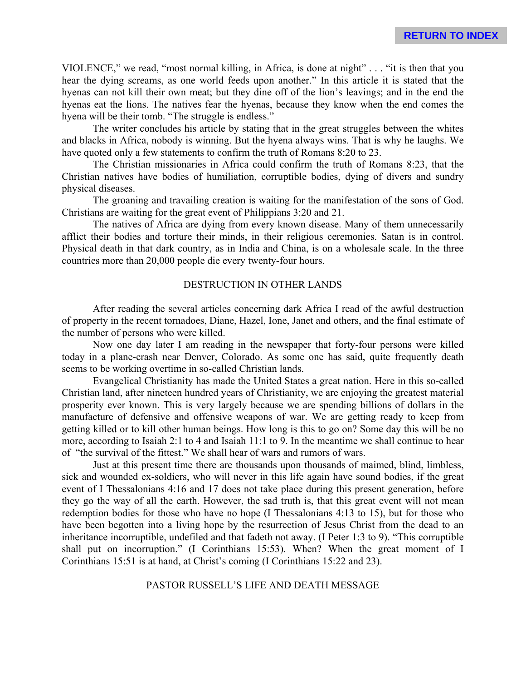VIOLENCE," we read, "most normal killing, in Africa, is done at night" . . . "it is then that you hear the dying screams, as one world feeds upon another." In this article it is stated that the hyenas can not kill their own meat; but they dine off of the lion's leavings; and in the end the hyenas eat the lions. The natives fear the hyenas, because they know when the end comes the hyena will be their tomb. "The struggle is endless."

The writer concludes his article by stating that in the great struggles between the whites and blacks in Africa, nobody is winning. But the hyena always wins. That is why he laughs. We have quoted only a few statements to confirm the truth of Romans 8:20 to 23.

The Christian missionaries in Africa could confirm the truth of Romans 8:23, that the Christian natives have bodies of humiliation, corruptible bodies, dying of divers and sundry physical diseases.

The groaning and travailing creation is waiting for the manifestation of the sons of God. Christians are waiting for the great event of Philippians 3:20 and 21.

The natives of Africa are dying from every known disease. Many of them unnecessarily afflict their bodies and torture their minds, in their religious ceremonies. Satan is in control. Physical death in that dark country, as in India and China, is on a wholesale scale. In the three countries more than 20,000 people die every twenty-four hours.

# DESTRUCTION IN OTHER LANDS

After reading the several articles concerning dark Africa I read of the awful destruction of property in the recent tornadoes, Diane, Hazel, Ione, Janet and others, and the final estimate of the number of persons who were killed.

Now one day later I am reading in the newspaper that forty-four persons were killed today in a plane-crash near Denver, Colorado. As some one has said, quite frequently death seems to be working overtime in so-called Christian lands.

Evangelical Christianity has made the United States a great nation. Here in this so-called Christian land, after nineteen hundred years of Christianity, we are enjoying the greatest material prosperity ever known. This is very largely because we are spending billions of dollars in the manufacture of defensive and offensive weapons of war. We are getting ready to keep from getting killed or to kill other human beings. How long is this to go on? Some day this will be no more, according to Isaiah 2:1 to 4 and Isaiah 11:1 to 9. In the meantime we shall continue to hear of "the survival of the fittest." We shall hear of wars and rumors of wars.

Just at this present time there are thousands upon thousands of maimed, blind, limbless, sick and wounded ex-soldiers, who will never in this life again have sound bodies, if the great event of I Thessalonians 4:16 and 17 does not take place during this present generation, before they go the way of all the earth. However, the sad truth is, that this great event will not mean redemption bodies for those who have no hope (I Thessalonians 4:13 to 15), but for those who have been begotten into a living hope by the resurrection of Jesus Christ from the dead to an inheritance incorruptible, undefiled and that fadeth not away. (I Peter 1:3 to 9). "This corruptible shall put on incorruption." (I Corinthians 15:53). When? When the great moment of I Corinthians 15:51 is at hand, at Christ's coming (I Corinthians 15:22 and 23).

#### PASTOR RUSSELL'S LIFE AND DEATH MESSAGE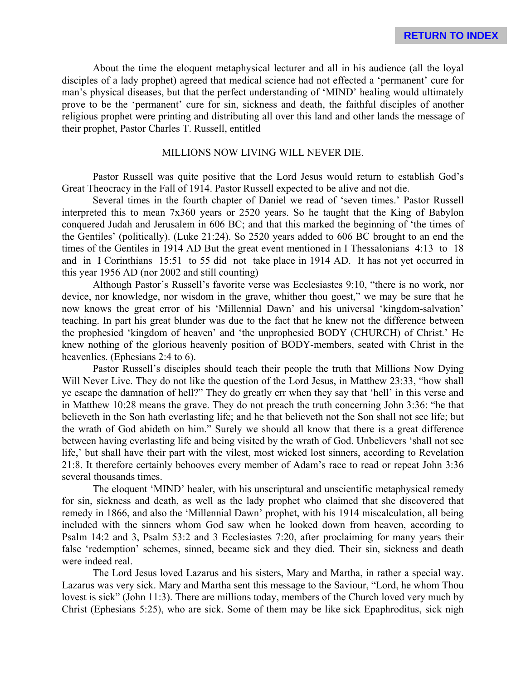About the time the eloquent metaphysical lecturer and all in his audience (all the loyal disciples of a lady prophet) agreed that medical science had not effected a 'permanent' cure for man's physical diseases, but that the perfect understanding of 'MIND' healing would ultimately prove to be the 'permanent' cure for sin, sickness and death, the faithful disciples of another religious prophet were printing and distributing all over this land and other lands the message of their prophet, Pastor Charles T. Russell, entitled

#### MILLIONS NOW LIVING WILL NEVER DIE.

Pastor Russell was quite positive that the Lord Jesus would return to establish God's Great Theocracy in the Fall of 1914. Pastor Russell expected to be alive and not die.

Several times in the fourth chapter of Daniel we read of 'seven times.' Pastor Russell interpreted this to mean 7x360 years or 2520 years. So he taught that the King of Babylon conquered Judah and Jerusalem in 606 BC; and that this marked the beginning of 'the times of the Gentiles' (politically). (Luke 21:24). So 2520 years added to 606 BC brought to an end the times of the Gentiles in 1914 AD But the great event mentioned in I Thessalonians 4:13 to 18 and in I Corinthians 15:51 to 55 did not take place in 1914 AD. It has not yet occurred in this year 1956 AD (nor 2002 and still counting)

Although Pastor's Russell's favorite verse was Ecclesiastes 9:10, "there is no work, nor device, nor knowledge, nor wisdom in the grave, whither thou goest," we may be sure that he now knows the great error of his 'Millennial Dawn' and his universal 'kingdom-salvation' teaching. In part his great blunder was due to the fact that he knew not the difference between the prophesied 'kingdom of heaven' and 'the unprophesied BODY (CHURCH) of Christ.' He knew nothing of the glorious heavenly position of BODY-members, seated with Christ in the heavenlies. (Ephesians 2:4 to 6).

Pastor Russell's disciples should teach their people the truth that Millions Now Dying Will Never Live. They do not like the question of the Lord Jesus, in Matthew 23:33, "how shall ye escape the damnation of hell?" They do greatly err when they say that 'hell' in this verse and in Matthew 10:28 means the grave. They do not preach the truth concerning John 3:36: "he that believeth in the Son hath everlasting life; and he that believeth not the Son shall not see life; but the wrath of God abideth on him." Surely we should all know that there is a great difference between having everlasting life and being visited by the wrath of God. Unbelievers 'shall not see life,' but shall have their part with the vilest, most wicked lost sinners, according to Revelation 21:8. It therefore certainly behooves every member of Adam's race to read or repeat John 3:36 several thousands times.

The eloquent 'MIND' healer, with his unscriptural and unscientific metaphysical remedy for sin, sickness and death, as well as the lady prophet who claimed that she discovered that remedy in 1866, and also the 'Millennial Dawn' prophet, with his 1914 miscalculation, all being included with the sinners whom God saw when he looked down from heaven, according to Psalm 14:2 and 3, Psalm 53:2 and 3 Ecclesiastes 7:20, after proclaiming for many years their false 'redemption' schemes, sinned, became sick and they died. Their sin, sickness and death were indeed real.

The Lord Jesus loved Lazarus and his sisters, Mary and Martha, in rather a special way. Lazarus was very sick. Mary and Martha sent this message to the Saviour, "Lord, he whom Thou lovest is sick" (John 11:3). There are millions today, members of the Church loved very much by Christ (Ephesians 5:25), who are sick. Some of them may be like sick Epaphroditus, sick nigh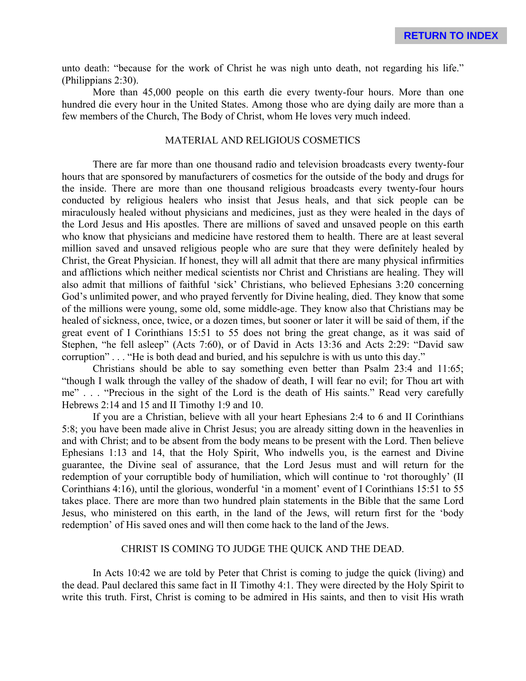unto death: "because for the work of Christ he was nigh unto death, not regarding his life." (Philippians 2:30).

More than 45,000 people on this earth die every twenty-four hours. More than one hundred die every hour in the United States. Among those who are dying daily are more than a few members of the Church, The Body of Christ, whom He loves very much indeed.

### MATERIAL AND RELIGIOUS COSMETICS

There are far more than one thousand radio and television broadcasts every twenty-four hours that are sponsored by manufacturers of cosmetics for the outside of the body and drugs for the inside. There are more than one thousand religious broadcasts every twenty-four hours conducted by religious healers who insist that Jesus heals, and that sick people can be miraculously healed without physicians and medicines, just as they were healed in the days of the Lord Jesus and His apostles. There are millions of saved and unsaved people on this earth who know that physicians and medicine have restored them to health. There are at least several million saved and unsaved religious people who are sure that they were definitely healed by Christ, the Great Physician. If honest, they will all admit that there are many physical infirmities and afflictions which neither medical scientists nor Christ and Christians are healing. They will also admit that millions of faithful 'sick' Christians, who believed Ephesians 3:20 concerning God's unlimited power, and who prayed fervently for Divine healing, died. They know that some of the millions were young, some old, some middle-age. They know also that Christians may be healed of sickness, once, twice, or a dozen times, but sooner or later it will be said of them, if the great event of I Corinthians 15:51 to 55 does not bring the great change, as it was said of Stephen, "he fell asleep" (Acts 7:60), or of David in Acts 13:36 and Acts 2:29: "David saw corruption" . . . "He is both dead and buried, and his sepulchre is with us unto this day."

Christians should be able to say something even better than Psalm 23:4 and 11:65; "though I walk through the valley of the shadow of death, I will fear no evil; for Thou art with me" . . . "Precious in the sight of the Lord is the death of His saints." Read very carefully Hebrews 2:14 and 15 and II Timothy 1:9 and 10.

If you are a Christian, believe with all your heart Ephesians 2:4 to 6 and II Corinthians 5:8; you have been made alive in Christ Jesus; you are already sitting down in the heavenlies in and with Christ; and to be absent from the body means to be present with the Lord. Then believe Ephesians 1:13 and 14, that the Holy Spirit, Who indwells you, is the earnest and Divine guarantee, the Divine seal of assurance, that the Lord Jesus must and will return for the redemption of your corruptible body of humiliation, which will continue to 'rot thoroughly' (II Corinthians 4:16), until the glorious, wonderful 'in a moment' event of I Corinthians 15:51 to 55 takes place. There are more than two hundred plain statements in the Bible that the same Lord Jesus, who ministered on this earth, in the land of the Jews, will return first for the 'body redemption' of His saved ones and will then come hack to the land of the Jews.

## CHRIST IS COMING TO JUDGE THE QUICK AND THE DEAD.

In Acts 10:42 we are told by Peter that Christ is coming to judge the quick (living) and the dead. Paul declared this same fact in II Timothy 4:1. They were directed by the Holy Spirit to write this truth. First, Christ is coming to be admired in His saints, and then to visit His wrath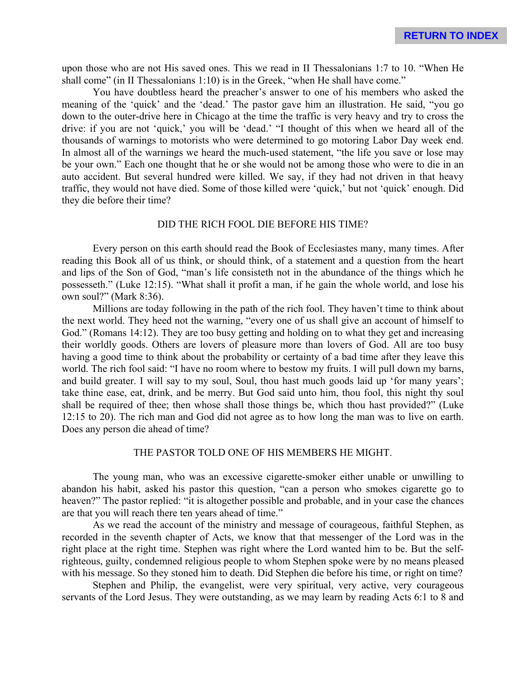upon those who are not His saved ones. This we read in II Thessalonians 1:7 to 10. "When He shall come" (in II Thessalonians 1:10) is in the Greek, "when He shall have come."

You have doubtless heard the preacher's answer to one of his members who asked the meaning of the 'quick' and the 'dead.' The pastor gave him an illustration. He said, "you go down to the outer-drive here in Chicago at the time the traffic is very heavy and try to cross the drive: if you are not 'quick,' you will be 'dead.' "I thought of this when we heard all of the thousands of warnings to motorists who were determined to go motoring Labor Day week end. In almost all of the warnings we heard the much-used statement, "the life you save or lose may be your own." Each one thought that he or she would not be among those who were to die in an auto accident. But several hundred were killed. We say, if they had not driven in that heavy traffic, they would not have died. Some of those killed were 'quick,' but not 'quick' enough. Did they die before their time?

## DID THE RICH FOOL DIE BEFORE HIS TIME?

Every person on this earth should read the Book of Ecclesiastes many, many times. After reading this Book all of us think, or should think, of a statement and a question from the heart and lips of the Son of God, "man's life consisteth not in the abundance of the things which he possesseth." (Luke 12:15). "What shall it profit a man, if he gain the whole world, and lose his own soul?" (Mark 8:36).

Millions are today following in the path of the rich fool. They haven't time to think about the next world. They heed not the warning, "every one of us shall give an account of himself to God." (Romans 14:12). They are too busy getting and holding on to what they get and increasing their worldly goods. Others are lovers of pleasure more than lovers of God. All are too busy having a good time to think about the probability or certainty of a bad time after they leave this world. The rich fool said: "I have no room where to bestow my fruits. I will pull down my barns, and build greater. I will say to my soul, Soul, thou hast much goods laid up 'for many years'; take thine ease, eat, drink, and be merry. But God said unto him, thou fool, this night thy soul shall be required of thee; then whose shall those things be, which thou hast provided?" (Luke 12:15 to 20). The rich man and God did not agree as to how long the man was to live on earth. Does any person die ahead of time?

#### THE PASTOR TOLD ONE OF HIS MEMBERS HE MIGHT.

The young man, who was an excessive cigarette-smoker either unable or unwilling to abandon his habit, asked his pastor this question, "can a person who smokes cigarette go to heaven?" The pastor replied: "it is altogether possible and probable, and in your case the chances are that you will reach there ten years ahead of time."

As we read the account of the ministry and message of courageous, faithful Stephen, as recorded in the seventh chapter of Acts, we know that that messenger of the Lord was in the right place at the right time. Stephen was right where the Lord wanted him to be. But the selfrighteous, guilty, condemned religious people to whom Stephen spoke were by no means pleased with his message. So they stoned him to death. Did Stephen die before his time, or right on time?

Stephen and Philip, the evangelist, were very spiritual, very active, very courageous servants of the Lord Jesus. They were outstanding, as we may learn by reading Acts 6:1 to 8 and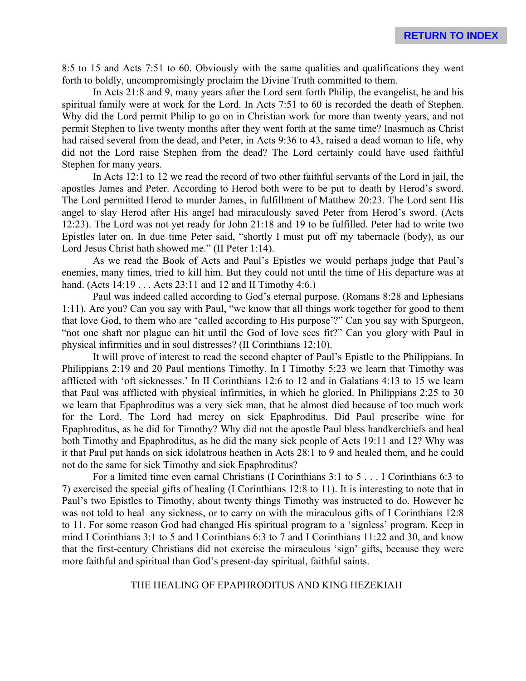8:5 to 15 and Acts 7:51 to 60. Obviously with the same qualities and qualifications they went forth to boldly, uncompromisingly proclaim the Divine Truth committed to them.

In Acts 21:8 and 9, many years after the Lord sent forth Philip, the evangelist, he and his spiritual family were at work for the Lord. In Acts 7:51 to 60 is recorded the death of Stephen. Why did the Lord permit Philip to go on in Christian work for more than twenty years, and not permit Stephen to live twenty months after they went forth at the same time? Inasmuch as Christ had raised several from the dead, and Peter, in Acts 9:36 to 43, raised a dead woman to life, why did not the Lord raise Stephen from the dead? The Lord certainly could have used faithful Stephen for many years.

In Acts 12:1 to 12 we read the record of two other faithful servants of the Lord in jail, the apostles James and Peter. According to Herod both were to be put to death by Herod's sword. The Lord permitted Herod to murder James, in fulfillment of Matthew 20:23. The Lord sent His angel to slay Herod after His angel had miraculously saved Peter from Herod's sword. (Acts 12:23). The Lord was not yet ready for John 21:18 and 19 to be fulfilled. Peter had to write two Epistles later on. In due time Peter said, "shortly I must put off my tabernacle (body), as our Lord Jesus Christ hath showed me." (II Peter 1:14).

As we read the Book of Acts and Paul's Epistles we would perhaps judge that Paul's enemies, many times, tried to kill him. But they could not until the time of His departure was at hand. (Acts 14:19 . . . Acts 23:11 and 12 and II Timothy 4:6.)

Paul was indeed called according to God's eternal purpose. (Romans 8:28 and Ephesians 1:11). Are you? Can you say with Paul, "we know that all things work together for good to them that love God, to them who are 'called according to His purpose'?" Can you say with Spurgeon, "not one shaft nor plague can hit until the God of love sees fit?" Can you glory with Paul in physical infirmities and in soul distresses? (II Corinthians 12:10).

It will prove of interest to read the second chapter of Paul's Epistle to the Philippians. In Philippians 2:19 and 20 Paul mentions Timothy. In I Timothy 5:23 we learn that Timothy was afflicted with 'oft sicknesses.' In II Corinthians 12:6 to 12 and in Galatians 4:13 to 15 we learn that Paul was afflicted with physical infirmities, in which he gloried. In Philippians 2:25 to 30 we learn that Epaphroditus was a very sick man, that he almost died because of too much work for the Lord. The Lord had mercy on sick Epaphroditus. Did Paul prescribe wine for Epaphroditus, as he did for Timothy? Why did not the apostle Paul bless handkerchiefs and heal both Timothy and Epaphroditus, as he did the many sick people of Acts 19:11 and 12? Why was it that Paul put hands on sick idolatrous heathen in Acts 28:1 to 9 and healed them, and he could not do the same for sick Timothy and sick Epaphroditus?

For a limited time even carnal Christians (I Corinthians 3:1 to 5 . . . I Corinthians 6:3 to 7) exercised the special gifts of healing (I Corinthians 12:8 to 11). It is interesting to note that in Paul's two Epistles to Timothy, about twenty things Timothy was instructed to do. However he was not told to heal any sickness, or to carry on with the miraculous gifts of I Corinthians 12:8 to 11. For some reason God had changed His spiritual program to a 'signless' program. Keep in mind I Corinthians 3:1 to 5 and I Corinthians 6:3 to 7 and I Corinthians 11:22 and 30, and know that the first-century Christians did not exercise the miraculous 'sign' gifts, because they were more faithful and spiritual than God's present-day spiritual, faithful saints.

### THE HEALING OF EPAPHRODITUS AND KING HEZEKIAH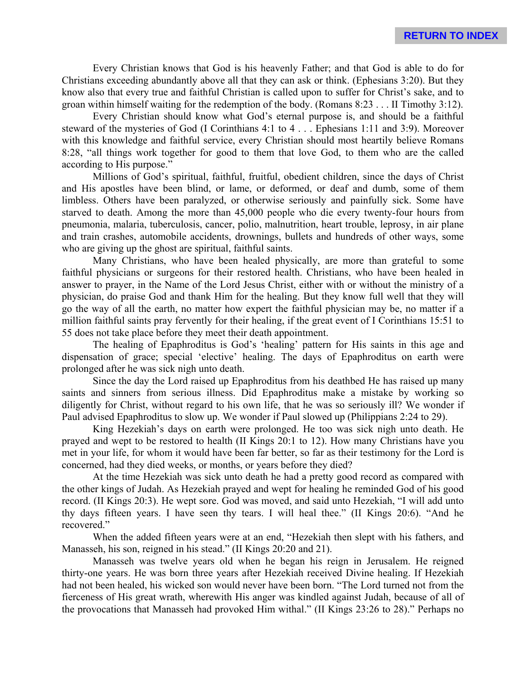Every Christian knows that God is his heavenly Father; and that God is able to do for Christians exceeding abundantly above all that they can ask or think. (Ephesians 3:20). But they know also that every true and faithful Christian is called upon to suffer for Christ's sake, and to groan within himself waiting for the redemption of the body. (Romans 8:23 . . . II Timothy 3:12).

Every Christian should know what God's eternal purpose is, and should be a faithful steward of the mysteries of God (I Corinthians 4:1 to 4 . . . Ephesians 1:11 and 3:9). Moreover with this knowledge and faithful service, every Christian should most heartily believe Romans 8:28, "all things work together for good to them that love God, to them who are the called according to His purpose."

Millions of God's spiritual, faithful, fruitful, obedient children, since the days of Christ and His apostles have been blind, or lame, or deformed, or deaf and dumb, some of them limbless. Others have been paralyzed, or otherwise seriously and painfully sick. Some have starved to death. Among the more than 45,000 people who die every twenty-four hours from pneumonia, malaria, tuberculosis, cancer, polio, malnutrition, heart trouble, leprosy, in air plane and train crashes, automobile accidents, drownings, bullets and hundreds of other ways, some who are giving up the ghost are spiritual, faithful saints.

Many Christians, who have been healed physically, are more than grateful to some faithful physicians or surgeons for their restored health. Christians, who have been healed in answer to prayer, in the Name of the Lord Jesus Christ, either with or without the ministry of a physician, do praise God and thank Him for the healing. But they know full well that they will go the way of all the earth, no matter how expert the faithful physician may be, no matter if a million faithful saints pray fervently for their healing, if the great event of I Corinthians 15:51 to 55 does not take place before they meet their death appointment.

The healing of Epaphroditus is God's 'healing' pattern for His saints in this age and dispensation of grace; special 'elective' healing. The days of Epaphroditus on earth were prolonged after he was sick nigh unto death.

Since the day the Lord raised up Epaphroditus from his deathbed He has raised up many saints and sinners from serious illness. Did Epaphroditus make a mistake by working so diligently for Christ, without regard to his own life, that he was so seriously ill? We wonder if Paul advised Epaphroditus to slow up. We wonder if Paul slowed up (Philippians 2:24 to 29).

King Hezekiah's days on earth were prolonged. He too was sick nigh unto death. He prayed and wept to be restored to health (II Kings 20:1 to 12). How many Christians have you met in your life, for whom it would have been far better, so far as their testimony for the Lord is concerned, had they died weeks, or months, or years before they died?

At the time Hezekiah was sick unto death he had a pretty good record as compared with the other kings of Judah. As Hezekiah prayed and wept for healing he reminded God of his good record. (II Kings 20:3). He wept sore. God was moved, and said unto Hezekiah, "I will add unto thy days fifteen years. I have seen thy tears. I will heal thee." (II Kings 20:6). "And he recovered."

When the added fifteen years were at an end, "Hezekiah then slept with his fathers, and Manasseh, his son, reigned in his stead." (II Kings 20:20 and 21).

Manasseh was twelve years old when he began his reign in Jerusalem. He reigned thirty-one years. He was born three years after Hezekiah received Divine healing. If Hezekiah had not been healed, his wicked son would never have been born. "The Lord turned not from the fierceness of His great wrath, wherewith His anger was kindled against Judah, because of all of the provocations that Manasseh had provoked Him withal." (II Kings 23:26 to 28)." Perhaps no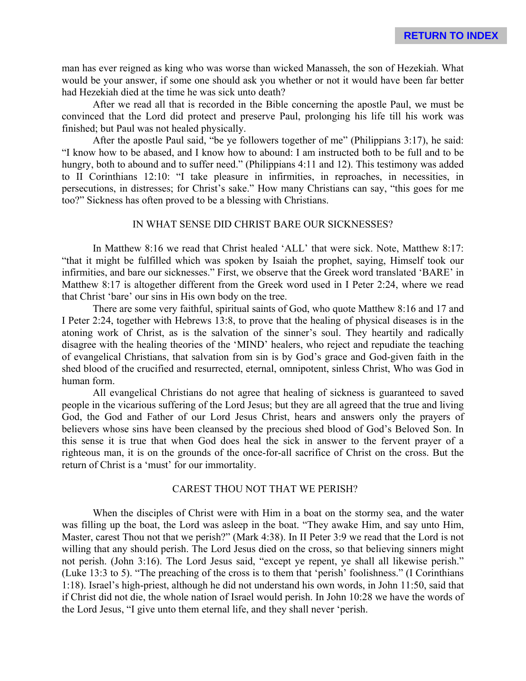man has ever reigned as king who was worse than wicked Manasseh, the son of Hezekiah. What would be your answer, if some one should ask you whether or not it would have been far better had Hezekiah died at the time he was sick unto death?

After we read all that is recorded in the Bible concerning the apostle Paul, we must be convinced that the Lord did protect and preserve Paul, prolonging his life till his work was finished; but Paul was not healed physically.

After the apostle Paul said, "be ye followers together of me" (Philippians 3:17), he said: "I know how to be abased, and I know how to abound: I am instructed both to be full and to be hungry, both to abound and to suffer need." (Philippians 4:11 and 12). This testimony was added to II Corinthians 12:10: "I take pleasure in infirmities, in reproaches, in necessities, in persecutions, in distresses; for Christ's sake." How many Christians can say, "this goes for me too?" Sickness has often proved to be a blessing with Christians.

# IN WHAT SENSE DID CHRIST BARE OUR SICKNESSES?

In Matthew 8:16 we read that Christ healed 'ALL' that were sick. Note, Matthew 8:17: "that it might be fulfilled which was spoken by Isaiah the prophet, saying, Himself took our infirmities, and bare our sicknesses." First, we observe that the Greek word translated 'BARE' in Matthew 8:17 is altogether different from the Greek word used in I Peter 2:24, where we read that Christ 'bare' our sins in His own body on the tree.

There are some very faithful, spiritual saints of God, who quote Matthew 8:16 and 17 and I Peter 2:24, together with Hebrews 13:8, to prove that the healing of physical diseases is in the atoning work of Christ, as is the salvation of the sinner's soul. They heartily and radically disagree with the healing theories of the 'MIND' healers, who reject and repudiate the teaching of evangelical Christians, that salvation from sin is by God's grace and God-given faith in the shed blood of the crucified and resurrected, eternal, omnipotent, sinless Christ, Who was God in human form.

All evangelical Christians do not agree that healing of sickness is guaranteed to saved people in the vicarious suffering of the Lord Jesus; but they are all agreed that the true and living God, the God and Father of our Lord Jesus Christ, hears and answers only the prayers of believers whose sins have been cleansed by the precious shed blood of God's Beloved Son. In this sense it is true that when God does heal the sick in answer to the fervent prayer of a righteous man, it is on the grounds of the once-for-all sacrifice of Christ on the cross. But the return of Christ is a 'must' for our immortality.

## CAREST THOU NOT THAT WE PERISH?

When the disciples of Christ were with Him in a boat on the stormy sea, and the water was filling up the boat, the Lord was asleep in the boat. "They awake Him, and say unto Him, Master, carest Thou not that we perish?" (Mark 4:38). In II Peter 3:9 we read that the Lord is not willing that any should perish. The Lord Jesus died on the cross, so that believing sinners might not perish. (John 3:16). The Lord Jesus said, "except ye repent, ye shall all likewise perish." (Luke 13:3 to 5). "The preaching of the cross is to them that 'perish' foolishness." (I Corinthians 1:18). Israel's high-priest, although he did not understand his own words, in John 11:50, said that if Christ did not die, the whole nation of Israel would perish. In John 10:28 we have the words of the Lord Jesus, "I give unto them eternal life, and they shall never 'perish.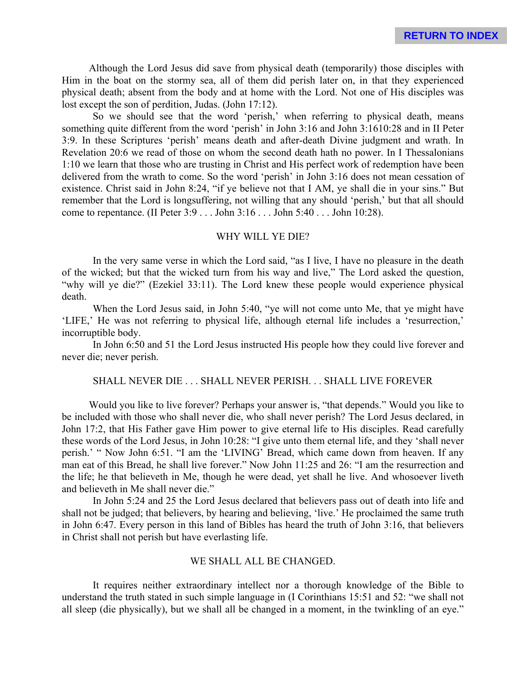Although the Lord Jesus did save from physical death (temporarily) those disciples with Him in the boat on the stormy sea, all of them did perish later on, in that they experienced physical death; absent from the body and at home with the Lord. Not one of His disciples was lost except the son of perdition, Judas. (John 17:12).

So we should see that the word 'perish,' when referring to physical death, means something quite different from the word 'perish' in John 3:16 and John 3:1610:28 and in II Peter 3:9. In these Scriptures 'perish' means death and after-death Divine judgment and wrath. In Revelation 20:6 we read of those on whom the second death hath no power. In I Thessalonians 1:10 we learn that those who are trusting in Christ and His perfect work of redemption have been delivered from the wrath to come. So the word 'perish' in John 3:16 does not mean cessation of existence. Christ said in John 8:24, "if ye believe not that I AM, ye shall die in your sins." But remember that the Lord is longsuffering, not willing that any should 'perish,' but that all should come to repentance. (II Peter 3:9 . . . John 3:16 . . . John 5:40 . . . John 10:28).

### WHY WILL YE DIE?

In the very same verse in which the Lord said, "as I live, I have no pleasure in the death of the wicked; but that the wicked turn from his way and live," The Lord asked the question, "why will ye die?" (Ezekiel 33:11). The Lord knew these people would experience physical death.

When the Lord Jesus said, in John 5:40, "ye will not come unto Me, that ye might have 'LIFE,' He was not referring to physical life, although eternal life includes a 'resurrection,' incorruptible body.

In John 6:50 and 51 the Lord Jesus instructed His people how they could live forever and never die; never perish.

## SHALL NEVER DIE . . . SHALL NEVER PERISH. . . SHALL LIVE FOREVER

Would you like to live forever? Perhaps your answer is, "that depends." Would you like to be included with those who shall never die, who shall never perish? The Lord Jesus declared, in John 17:2, that His Father gave Him power to give eternal life to His disciples. Read carefully these words of the Lord Jesus, in John 10:28: "I give unto them eternal life, and they 'shall never perish.' " Now John 6:51. "I am the 'LIVING' Bread, which came down from heaven. If any man eat of this Bread, he shall live forever." Now John 11:25 and 26: "I am the resurrection and the life; he that believeth in Me, though he were dead, yet shall he live. And whosoever liveth and believeth in Me shall never die."

In John 5:24 and 25 the Lord Jesus declared that believers pass out of death into life and shall not be judged; that believers, by hearing and believing, 'live.' He proclaimed the same truth in John 6:47. Every person in this land of Bibles has heard the truth of John 3:16, that believers in Christ shall not perish but have everlasting life.

#### WE SHALL ALL BE CHANGED.

It requires neither extraordinary intellect nor a thorough knowledge of the Bible to understand the truth stated in such simple language in (I Corinthians 15:51 and 52: "we shall not all sleep (die physically), but we shall all be changed in a moment, in the twinkling of an eye."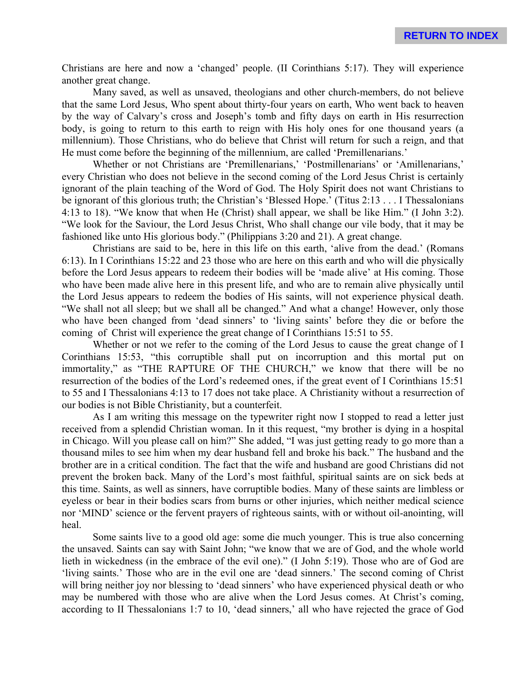Christians are here and now a 'changed' people. (II Corinthians 5:17). They will experience another great change.

Many saved, as well as unsaved, theologians and other church-members, do not believe that the same Lord Jesus, Who spent about thirty-four years on earth, Who went back to heaven by the way of Calvary's cross and Joseph's tomb and fifty days on earth in His resurrection body, is going to return to this earth to reign with His holy ones for one thousand years (a millennium). Those Christians, who do believe that Christ will return for such a reign, and that He must come before the beginning of the millennium, are called 'Premillenarians.'

Whether or not Christians are 'Premillenarians,' 'Postmillenarians' or 'Amillenarians,' every Christian who does not believe in the second coming of the Lord Jesus Christ is certainly ignorant of the plain teaching of the Word of God. The Holy Spirit does not want Christians to be ignorant of this glorious truth; the Christian's 'Blessed Hope.' (Titus 2:13 . . . I Thessalonians 4:13 to 18). "We know that when He (Christ) shall appear, we shall be like Him." (I John 3:2). "We look for the Saviour, the Lord Jesus Christ, Who shall change our vile body, that it may be fashioned like unto His glorious body." (Philippians 3:20 and 21). A great change.

Christians are said to be, here in this life on this earth, 'alive from the dead.' (Romans 6:13). In I Corinthians 15:22 and 23 those who are here on this earth and who will die physically before the Lord Jesus appears to redeem their bodies will be 'made alive' at His coming. Those who have been made alive here in this present life, and who are to remain alive physically until the Lord Jesus appears to redeem the bodies of His saints, will not experience physical death. "We shall not all sleep; but we shall all be changed." And what a change! However, only those who have been changed from 'dead sinners' to 'living saints' before they die or before the coming of Christ will experience the great change of I Corinthians 15:51 to 55.

Whether or not we refer to the coming of the Lord Jesus to cause the great change of I Corinthians 15:53, "this corruptible shall put on incorruption and this mortal put on immortality," as "THE RAPTURE OF THE CHURCH," we know that there will be no resurrection of the bodies of the Lord's redeemed ones, if the great event of I Corinthians 15:51 to 55 and I Thessalonians 4:13 to 17 does not take place. A Christianity without a resurrection of our bodies is not Bible Christianity, but a counterfeit.

As I am writing this message on the typewriter right now I stopped to read a letter just received from a splendid Christian woman. In it this request, "my brother is dying in a hospital in Chicago. Will you please call on him?" She added, "I was just getting ready to go more than a thousand miles to see him when my dear husband fell and broke his back." The husband and the brother are in a critical condition. The fact that the wife and husband are good Christians did not prevent the broken back. Many of the Lord's most faithful, spiritual saints are on sick beds at this time. Saints, as well as sinners, have corruptible bodies. Many of these saints are limbless or eyeless or bear in their bodies scars from burns or other injuries, which neither medical science nor 'MIND' science or the fervent prayers of righteous saints, with or without oil-anointing, will heal.

Some saints live to a good old age: some die much younger. This is true also concerning the unsaved. Saints can say with Saint John; "we know that we are of God, and the whole world lieth in wickedness (in the embrace of the evil one)." (I John 5:19). Those who are of God are 'living saints.' Those who are in the evil one are 'dead sinners.' The second coming of Christ will bring neither joy nor blessing to 'dead sinners' who have experienced physical death or who may be numbered with those who are alive when the Lord Jesus comes. At Christ's coming, according to II Thessalonians 1:7 to 10, 'dead sinners,' all who have rejected the grace of God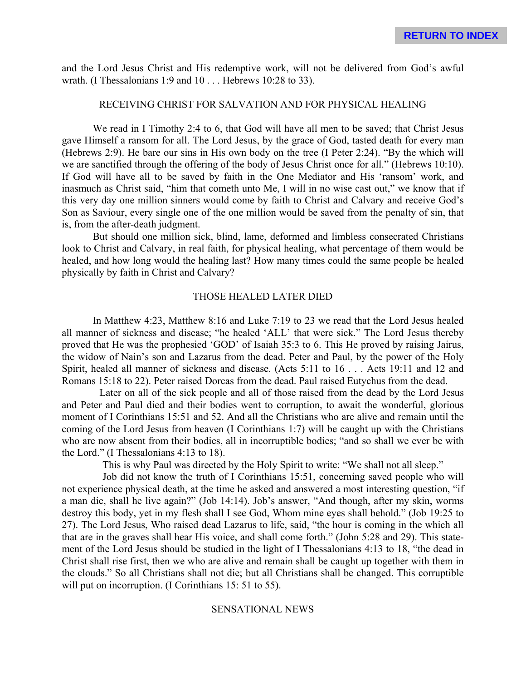and the Lord Jesus Christ and His redemptive work, will not be delivered from God's awful wrath. (I Thessalonians 1:9 and 10 . . . Hebrews 10:28 to 33).

# RECEIVING CHRIST FOR SALVATION AND FOR PHYSICAL HEALING

We read in I Timothy 2:4 to 6, that God will have all men to be saved; that Christ Jesus gave Himself a ransom for all. The Lord Jesus, by the grace of God, tasted death for every man (Hebrews 2:9). He bare our sins in His own body on the tree (I Peter 2:24). "By the which will we are sanctified through the offering of the body of Jesus Christ once for all." (Hebrews 10:10). If God will have all to be saved by faith in the One Mediator and His 'ransom' work, and inasmuch as Christ said, "him that cometh unto Me, I will in no wise cast out," we know that if this very day one million sinners would come by faith to Christ and Calvary and receive God's Son as Saviour, every single one of the one million would be saved from the penalty of sin, that is, from the after-death judgment.

But should one million sick, blind, lame, deformed and limbless consecrated Christians look to Christ and Calvary, in real faith, for physical healing, what percentage of them would be healed, and how long would the healing last? How many times could the same people be healed physically by faith in Christ and Calvary?

### THOSE HEALED LATER DIED

In Matthew 4:23, Matthew 8:16 and Luke 7:19 to 23 we read that the Lord Jesus healed all manner of sickness and disease; "he healed 'ALL' that were sick." The Lord Jesus thereby proved that He was the prophesied 'GOD' of Isaiah 35:3 to 6. This He proved by raising Jairus, the widow of Nain's son and Lazarus from the dead. Peter and Paul, by the power of the Holy Spirit, healed all manner of sickness and disease. (Acts 5:11 to 16 . . . Acts 19:11 and 12 and Romans 15:18 to 22). Peter raised Dorcas from the dead. Paul raised Eutychus from the dead.

Later on all of the sick people and all of those raised from the dead by the Lord Jesus and Peter and Paul died and their bodies went to corruption, to await the wonderful, glorious moment of I Corinthians 15:51 and 52. And all the Christians who are alive and remain until the coming of the Lord Jesus from heaven (I Corinthians 1:7) will be caught up with the Christians who are now absent from their bodies, all in incorruptible bodies; "and so shall we ever be with the Lord." (I Thessalonians 4:13 to 18).

This is why Paul was directed by the Holy Spirit to write: "We shall not all sleep."

Job did not know the truth of I Corinthians 15:51, concerning saved people who will not experience physical death, at the time he asked and answered a most interesting question, "if a man die, shall he live again?" (Job 14:14). Job's answer, "And though, after my skin, worms destroy this body, yet in my flesh shall I see God, Whom mine eyes shall behold." (Job 19:25 to 27). The Lord Jesus, Who raised dead Lazarus to life, said, "the hour is coming in the which all that are in the graves shall hear His voice, and shall come forth." (John 5:28 and 29). This statement of the Lord Jesus should be studied in the light of I Thessalonians 4:13 to 18, "the dead in Christ shall rise first, then we who are alive and remain shall be caught up together with them in the clouds." So all Christians shall not die; but all Christians shall be changed. This corruptible will put on incorruption. (I Corinthians 15: 51 to 55).

## SENSATIONAL NEWS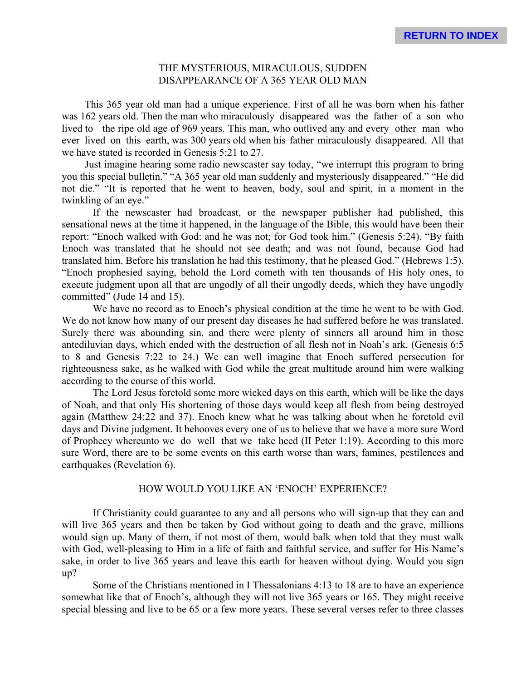## THE MYSTERIOUS, MIRACULOUS, SUDDEN DISAPPEARANCE OF A 365 YEAR OLD MAN

This 365 year old man had a unique experience. First of all he was born when his father was 162 years old. Then the man who miraculously disappeared was the father of a son who lived to the ripe old age of 969 years. This man, who outlived any and every other man who ever lived on this earth, was 300 years old when his father miraculously disappeared. All that we have stated is recorded in Genesis 5:21 to 27.

Just imagine hearing some radio newscaster say today, "we interrupt this program to bring you this special bulletin." "A 365 year old man suddenly and mysteriously disappeared." "He did not die." "It is reported that he went to heaven, body, soul and spirit, in a moment in the twinkling of an eye."

If the newscaster had broadcast, or the newspaper publisher had published, this sensational news at the time it happened, in the language of the Bible, this would have been their report: "Enoch walked with God: and he was not; for God took him." (Genesis 5:24). "By faith Enoch was translated that he should not see death; and was not found, because God had translated him. Before his translation he had this testimony, that he pleased God." (Hebrews 1:5). "Enoch prophesied saying, behold the Lord cometh with ten thousands of His holy ones, to execute judgment upon all that are ungodly of all their ungodly deeds, which they have ungodly committed" (Jude 14 and 15).

We have no record as to Enoch's physical condition at the time he went to be with God. We do not know how many of our present day diseases he had suffered before he was translated. Surely there was abounding sin, and there were plenty of sinners all around him in those antediluvian days, which ended with the destruction of all flesh not in Noah's ark. (Genesis 6:5 to 8 and Genesis 7:22 to 24.) We can well imagine that Enoch suffered persecution for righteousness sake, as he walked with God while the great multitude around him were walking according to the course of this world.

The Lord Jesus foretold some more wicked days on this earth, which will be like the days of Noah, and that only His shortening of those days would keep all flesh from being destroyed again (Matthew 24:22 and 37). Enoch knew what he was talking about when he foretold evil days and Divine judgment. It behooves every one of us to believe that we have a more sure Word of Prophecy whereunto we do well that we take heed (II Peter 1:19). According to this more sure Word, there are to be some events on this earth worse than wars, famines, pestilences and earthquakes (Revelation 6).

## HOW WOULD YOU LIKE AN 'ENOCH' EXPERIENCE?

If Christianity could guarantee to any and all persons who will sign-up that they can and will live 365 years and then be taken by God without going to death and the grave, millions would sign up. Many of them, if not most of them, would balk when told that they must walk with God, well-pleasing to Him in a life of faith and faithful service, and suffer for His Name's sake, in order to live 365 years and leave this earth for heaven without dying. Would you sign up?

Some of the Christians mentioned in I Thessalonians 4:13 to 18 are to have an experience somewhat like that of Enoch's, although they will not live 365 years or 165. They might receive special blessing and live to be 65 or a few more years. These several verses refer to three classes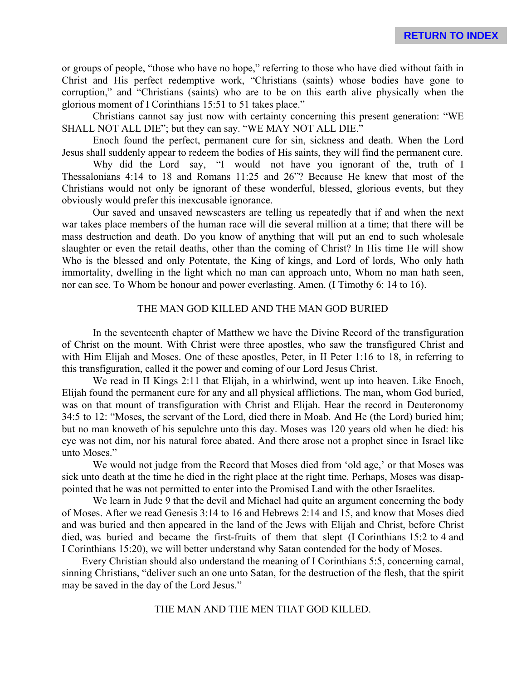or groups of people, "those who have no hope," referring to those who have died without faith in Christ and His perfect redemptive work, "Christians (saints) whose bodies have gone to corruption," and "Christians (saints) who are to be on this earth alive physically when the glorious moment of I Corinthians 15:51 to 51 takes place."

Christians cannot say just now with certainty concerning this present generation: "WE SHALL NOT ALL DIE"; but they can say. "WE MAY NOT ALL DIE."

Enoch found the perfect, permanent cure for sin, sickness and death. When the Lord Jesus shall suddenly appear to redeem the bodies of His saints, they will find the permanent cure.

Why did the Lord say, "I would not have you ignorant of the, truth of I Thessalonians 4:14 to 18 and Romans 11:25 and 26"? Because He knew that most of the Christians would not only be ignorant of these wonderful, blessed, glorious events, but they obviously would prefer this inexcusable ignorance.

Our saved and unsaved newscasters are telling us repeatedly that if and when the next war takes place members of the human race will die several million at a time; that there will be mass destruction and death. Do you know of anything that will put an end to such wholesale slaughter or even the retail deaths, other than the coming of Christ? In His time He will show Who is the blessed and only Potentate, the King of kings, and Lord of lords, Who only hath immortality, dwelling in the light which no man can approach unto, Whom no man hath seen, nor can see. To Whom be honour and power everlasting. Amen. (I Timothy 6: 14 to 16).

## THE MAN GOD KILLED AND THE MAN GOD BURIED

In the seventeenth chapter of Matthew we have the Divine Record of the transfiguration of Christ on the mount. With Christ were three apostles, who saw the transfigured Christ and with Him Elijah and Moses. One of these apostles, Peter, in II Peter 1:16 to 18, in referring to this transfiguration, called it the power and coming of our Lord Jesus Christ.

We read in II Kings 2:11 that Elijah, in a whirlwind, went up into heaven. Like Enoch, Elijah found the permanent cure for any and all physical afflictions. The man, whom God buried, was on that mount of transfiguration with Christ and Elijah. Hear the record in Deuteronomy 34:5 to 12: "Moses, the servant of the Lord, died there in Moab. And He (the Lord) buried him; but no man knoweth of his sepulchre unto this day. Moses was 120 years old when he died: his eye was not dim, nor his natural force abated. And there arose not a prophet since in Israel like unto Moses."

We would not judge from the Record that Moses died from 'old age,' or that Moses was sick unto death at the time he died in the right place at the right time. Perhaps, Moses was disappointed that he was not permitted to enter into the Promised Land with the other Israelites.

We learn in Jude 9 that the devil and Michael had quite an argument concerning the body of Moses. After we read Genesis 3:14 to 16 and Hebrews 2:14 and 15, and know that Moses died and was buried and then appeared in the land of the Jews with Elijah and Christ, before Christ died, was buried and became the first-fruits of them that slept (I Corinthians 15:2 to 4 and I Corinthians 15:20), we will better understand why Satan contended for the body of Moses.

Every Christian should also understand the meaning of I Corinthians 5:5, concerning carnal, sinning Christians, "deliver such an one unto Satan, for the destruction of the flesh, that the spirit may be saved in the day of the Lord Jesus."

### THE MAN AND THE MEN THAT GOD KILLED.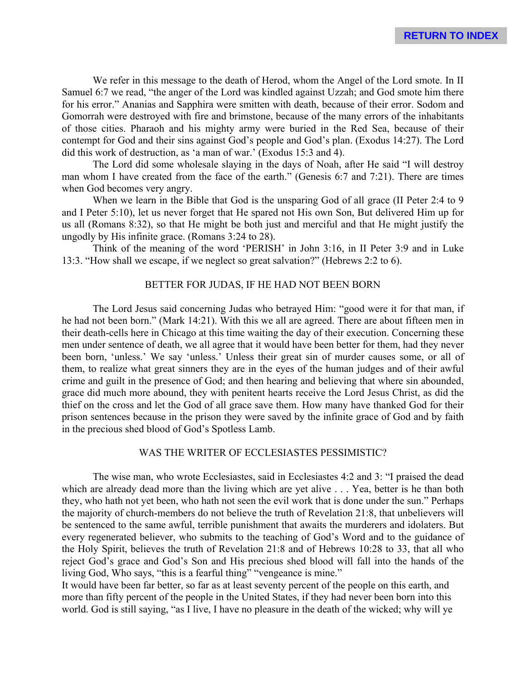We refer in this message to the death of Herod, whom the Angel of the Lord smote. In II Samuel 6:7 we read, "the anger of the Lord was kindled against Uzzah; and God smote him there for his error." Ananias and Sapphira were smitten with death, because of their error. Sodom and Gomorrah were destroyed with fire and brimstone, because of the many errors of the inhabitants of those cities. Pharaoh and his mighty army were buried in the Red Sea, because of their contempt for God and their sins against God's people and God's plan. (Exodus 14:27). The Lord did this work of destruction, as 'a man of war.' (Exodus 15:3 and 4).

The Lord did some wholesale slaying in the days of Noah, after He said "I will destroy man whom I have created from the face of the earth." (Genesis 6:7 and 7:21). There are times when God becomes very angry.

When we learn in the Bible that God is the unsparing God of all grace (II Peter 2:4 to 9) and I Peter 5:10), let us never forget that He spared not His own Son, But delivered Him up for us all (Romans 8:32), so that He might be both just and merciful and that He might justify the ungodly by His infinite grace. (Romans 3:24 to 28).

Think of the meaning of the word 'PERISH' in John 3:16, in II Peter 3:9 and in Luke 13:3. "How shall we escape, if we neglect so great salvation?" (Hebrews 2:2 to 6).

## BETTER FOR JUDAS, IF HE HAD NOT BEEN BORN

The Lord Jesus said concerning Judas who betrayed Him: "good were it for that man, if he had not been born." (Mark 14:21). With this we all are agreed. There are about fifteen men in their death-cells here in Chicago at this time waiting the day of their execution. Concerning these men under sentence of death, we all agree that it would have been better for them, had they never been born, 'unless.' We say 'unless.' Unless their great sin of murder causes some, or all of them, to realize what great sinners they are in the eyes of the human judges and of their awful crime and guilt in the presence of God; and then hearing and believing that where sin abounded, grace did much more abound, they with penitent hearts receive the Lord Jesus Christ, as did the thief on the cross and let the God of all grace save them. How many have thanked God for their prison sentences because in the prison they were saved by the infinite grace of God and by faith in the precious shed blood of God's Spotless Lamb.

# WAS THE WRITER OF ECCLESIASTES PESSIMISTIC?

The wise man, who wrote Ecclesiastes, said in Ecclesiastes 4:2 and 3: "I praised the dead which are already dead more than the living which are yet alive . . . Yea, better is he than both they, who hath not yet been, who hath not seen the evil work that is done under the sun." Perhaps the majority of church-members do not believe the truth of Revelation 21:8, that unbelievers will be sentenced to the same awful, terrible punishment that awaits the murderers and idolaters. But every regenerated believer, who submits to the teaching of God's Word and to the guidance of the Holy Spirit, believes the truth of Revelation 21:8 and of Hebrews 10:28 to 33, that all who reject God's grace and God's Son and His precious shed blood will fall into the hands of the living God, Who says, "this is a fearful thing" "vengeance is mine."

It would have been far better, so far as at least seventy percent of the people on this earth, and more than fifty percent of the people in the United States, if they had never been born into this world. God is still saying, "as I live, I have no pleasure in the death of the wicked; why will ye